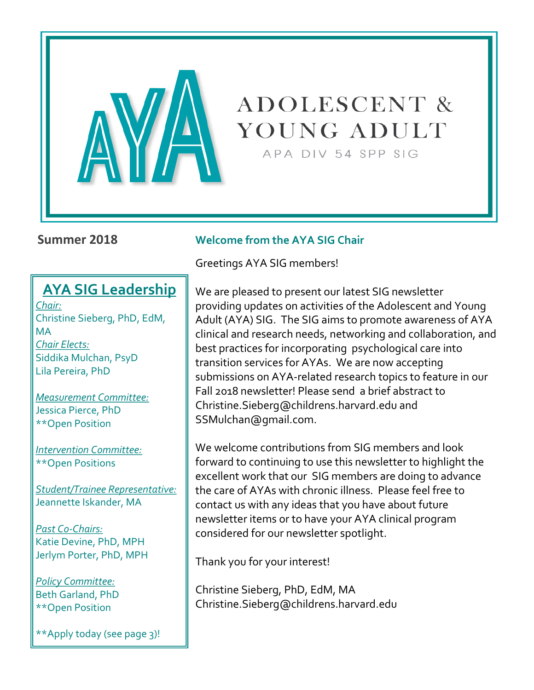

# **ADOLESCENT &** YOUNG ADULT

APA DIV 54 SPP SIG

## **AYA SIG Leadership**

*Chair:* Christine Sieberg, PhD, EdM, MA *Chair Elects:* Siddika Mulchan, PsyD Lila Pereira, PhD

*Measurement Committee:* Jessica Pierce, PhD \*\*Open Position

*Intervention Committee:* \*\*Open Positions

*Student/Trainee Representative:* Jeannette Iskander, MA

*Past Co-Chairs:* Katie Devine, PhD, MPH Jerlym Porter, PhD, MPH

*Policy Committee:* Beth Garland, PhD \*\*Open Position

\*\*Apply today (see page 3)!

#### **Summer 2018 Welcome from the AYA SIG Chair**

Greetings AYA SIG members!

We are pleased to present our latest SIG newsletter providing updates on activities of the Adolescent and Young Adult (AYA) SIG. The SIG aims to promote awareness of AYA clinical and research needs, networking and collaboration, and best practices for incorporating psychological care into transition services for AYAs. We are now accepting submissions on AYA-related research topics to feature in our Fall 2018 newsletter! Please send a brief abstract to Christine.Sieberg@childrens.harvard.edu and SSMulchan@gmail.com.

We welcome contributions from SIG members and look forward to continuing to use this newsletter to highlight the excellent work that our SIG members are doing to advance the care of AYAs with chronic illness. Please feel free to contact us with any ideas that you have about future newsletter items or to have your AYA clinical program considered for our newsletter spotlight.

Thank you for your interest!

Christine Sieberg, PhD, EdM, MA Christine.Sieberg@childrens.harvard.edu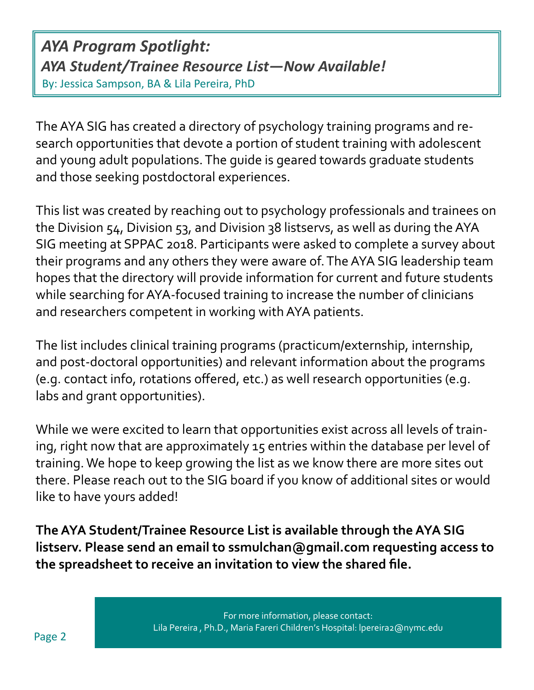*AYA Program Spotlight: AYA Student/Trainee Resource List—Now Available!*  By: Jessica Sampson, BA & Lila Pereira, PhD

The AYA SIG has created a directory of psychology training programs and research opportunities that devote a portion of student training with adolescent and young adult populations. The guide is geared towards graduate students and those seeking postdoctoral experiences.

This list was created by reaching out to psychology professionals and trainees on the Division 54, Division 53, and Division 38 listservs, as well as during the AYA SIG meeting at SPPAC 2018. Participants were asked to complete a survey about their programs and any others they were aware of. The AYA SIG leadership team hopes that the directory will provide information for current and future students while searching for AYA-focused training to increase the number of clinicians and researchers competent in working with AYA patients.

The list includes clinical training programs (practicum/externship, internship, and post-doctoral opportunities) and relevant information about the programs (e.g. contact info, rotations offered, etc.) as well research opportunities (e.g. labs and grant opportunities).

While we were excited to learn that opportunities exist across all levels of training, right now that are approximately 15 entries within the database per level of training. We hope to keep growing the list as we know there are more sites out there. Please reach out to the SIG board if you know of additional sites or would like to have yours added!

**The AYA Student/Trainee Resource List is available through the AYA SIG listserv. Please send an email to ssmulchan@gmail.com requesting access to the spreadsheet to receive an invitation to view the shared file.**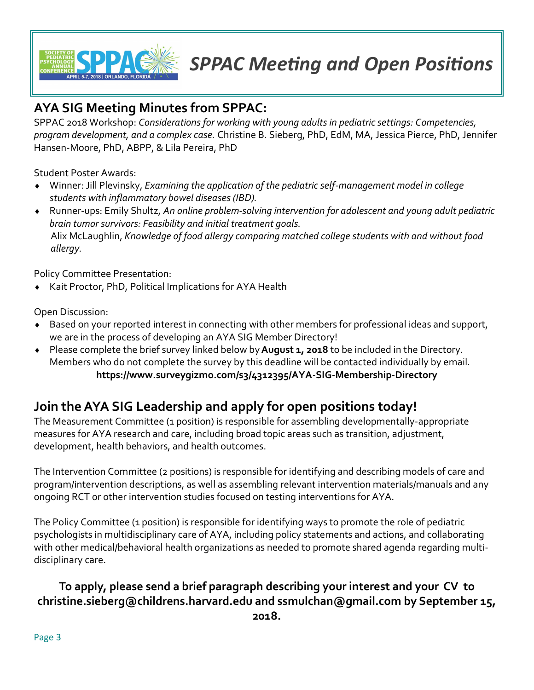

## *SPPAC Meeting and Open Positions*

## **AYA SIG Meeting Minutes from SPPAC:**

SPPAC 2018 Workshop: *Considerations for working with young adults in pediatric settings: Competencies, program development, and a complex case.* Christine B. Sieberg, PhD, EdM, MA, Jessica Pierce, PhD, Jennifer Hansen-Moore, PhD, ABPP, & Lila Pereira, PhD

Student Poster Awards:

- Winner: Jill Plevinsky, *Examining the application of the pediatric self-management model in college students with inflammatory bowel diseases (IBD).*
- Runner-ups: Emily Shultz, *An online problem-solving intervention for adolescent and young adult pediatric brain tumor survivors: Feasibility and initial treatment goals*. Alix McLaughlin, *Knowledge of food allergy comparing matched college students with and without food allergy.*

Policy Committee Presentation:

◆ Kait Proctor, PhD, Political Implications for AYA Health

Open Discussion:

- Based on your reported interest in connecting with other members for professional ideas and support, we are in the process of developing an AYA SIG Member Directory!
- Please complete the brief survey linked below by **August 1, 2018** to be included in the Directory. Members who do not complete the survey by this deadline will be contacted individually by email. **https://www.surveygizmo.com/s3/4312395/AYA-SIG-Membership-Directory**

## **Join the AYA SIG Leadership and apply for open positions today!**

The Measurement Committee (1 position) is responsible for assembling developmentally-appropriate measures for AYA research and care, including broad topic areas such as transition, adjustment, development, health behaviors, and health outcomes.

The Intervention Committee (2 positions) is responsible for identifying and describing models of care and program/intervention descriptions, as well as assembling relevant intervention materials/manuals and any ongoing RCT or other intervention studies focused on testing interventions for AYA.

The Policy Committee (1 position) is responsible for identifying ways to promote the role of pediatric psychologists in multidisciplinary care of AYA, including policy statements and actions, and collaborating with other medical/behavioral health organizations as needed to promote shared agenda regarding multidisciplinary care.

## **To apply, please send a brief paragraph describing your interest and your CV to christine.sieberg@childrens.harvard.edu and ssmulchan@gmail.com by September 15,**